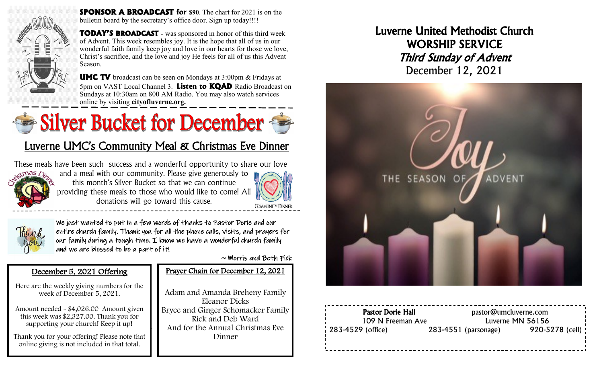

**SPONSOR A BROADCAST for \$90**. The chart for 2021 is on the bulletin board by the secretary's office door. Sign up today!!!!

**TODAY'S BROADCAST -** was sponsored in honor of this third week of Advent. This week resembles joy. It is the hope that all of us in our wonderful faith family keep joy and love in our hearts for those we love, Christ's sacrifice, and the love and joy He feels for all of us this Advent Season.

**UMC TV** broadcast can be seen on Mondays at 3:00pm & Fridays at 5pm on VAST Local Channel 3. **Listen to KQAD** Radio Broadcast on Sundays at 10:30am on 800 AM Radio. You may also watch services online by visiting **cityofluverne.org.**

# Silver Bucket for December

## Luverne UMC's Community Meal & Christmas Eve Dinner

These meals have been such success and a wonderful opportunity to share our love



and a meal with our community. Please give generously to this month's Silver Bucket so that we can continue providing these meals to those who would like to come! All donations will go toward this cause.

4





We just wanted to put in a few words of thanks to Pastor Dorie and our entire church family. Thank you for all the phone calls, visits, and prayers for our family during a tough time. I know we have a wonderful church family and we are blessed to be a part of it!

i,

 $\sim$  Morris and Beth Fick

#### December 5, 2021 Offering

Here are the weekly giving numbers for the week of December 5, 2021.

Amount needed - \$4,026.00 Amount given this week was \$2,327.00. Thank you for supporting your church! Keep it up!

Thank you for your offering! Please note that online giving is not included in that total.

#### Prayer Chain for December 12, 2021

Adam and Amanda Breheny Family Eleanor Dicks Bryce and Ginger Schomacker Family Rick and Deb Ward And for the Annual Christmas Eve Dinner

Luverne United Methodist Church WORSHIP SERVICE Third Sunday of Advent December 12, 2021



Pastor Dorie Hall **Pastor** pastor@umcluverne.com 109 N Freeman Ave Luverne MN 56156 283-4529 (office) 283-4551 (parsonage) 920-5278 (cell)